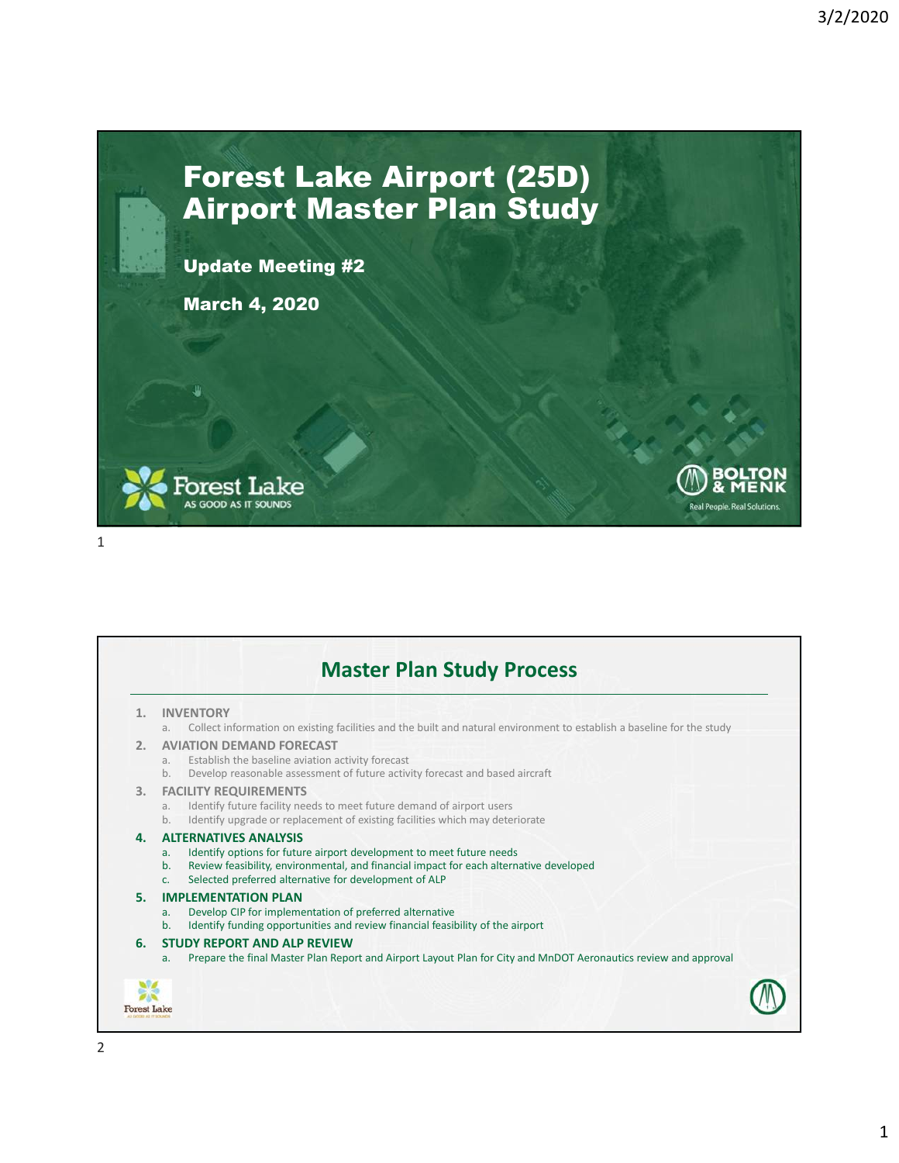Real People, Real Solutions

## Forest Lake Airport (25D) Airport Master Plan Study

Update Meeting #2

March 4, 2020





|    | <b>INVENTORY</b>                                                                                                                                                                                                                                                                                                 |  |
|----|------------------------------------------------------------------------------------------------------------------------------------------------------------------------------------------------------------------------------------------------------------------------------------------------------------------|--|
| 2. | Collect information on existing facilities and the built and natural environment to establish a baseline for the study<br>a.<br><b>AVIATION DEMAND FORECAST</b><br>Establish the baseline aviation activity forecast<br>a.<br>Develop reasonable assessment of future activity forecast and based aircraft<br>b. |  |
| 3. | <b>FACILITY REQUIREMENTS</b><br>Identify future facility needs to meet future demand of airport users<br>a.<br>Identify upgrade or replacement of existing facilities which may deteriorate<br>b.                                                                                                                |  |
| 4. | <b>ALTERNATIVES ANALYSIS</b><br>Identify options for future airport development to meet future needs<br>a.<br>Review feasibility, environmental, and financial impact for each alternative developed<br>b.<br>Selected preferred alternative for development of ALP<br>C <sub>1</sub>                            |  |
| 5. | <b>IMPLEMENTATION PLAN</b><br>Develop CIP for implementation of preferred alternative<br>a <sub>r</sub><br>Identify funding opportunities and review financial feasibility of the airport<br>b <sub>1</sub>                                                                                                      |  |
| 6. | <b>STUDY REPORT AND ALP REVIEW</b><br>Prepare the final Master Plan Report and Airport Layout Plan for City and MnDOT Aeronautics review and approval<br>a <sub>r</sub>                                                                                                                                          |  |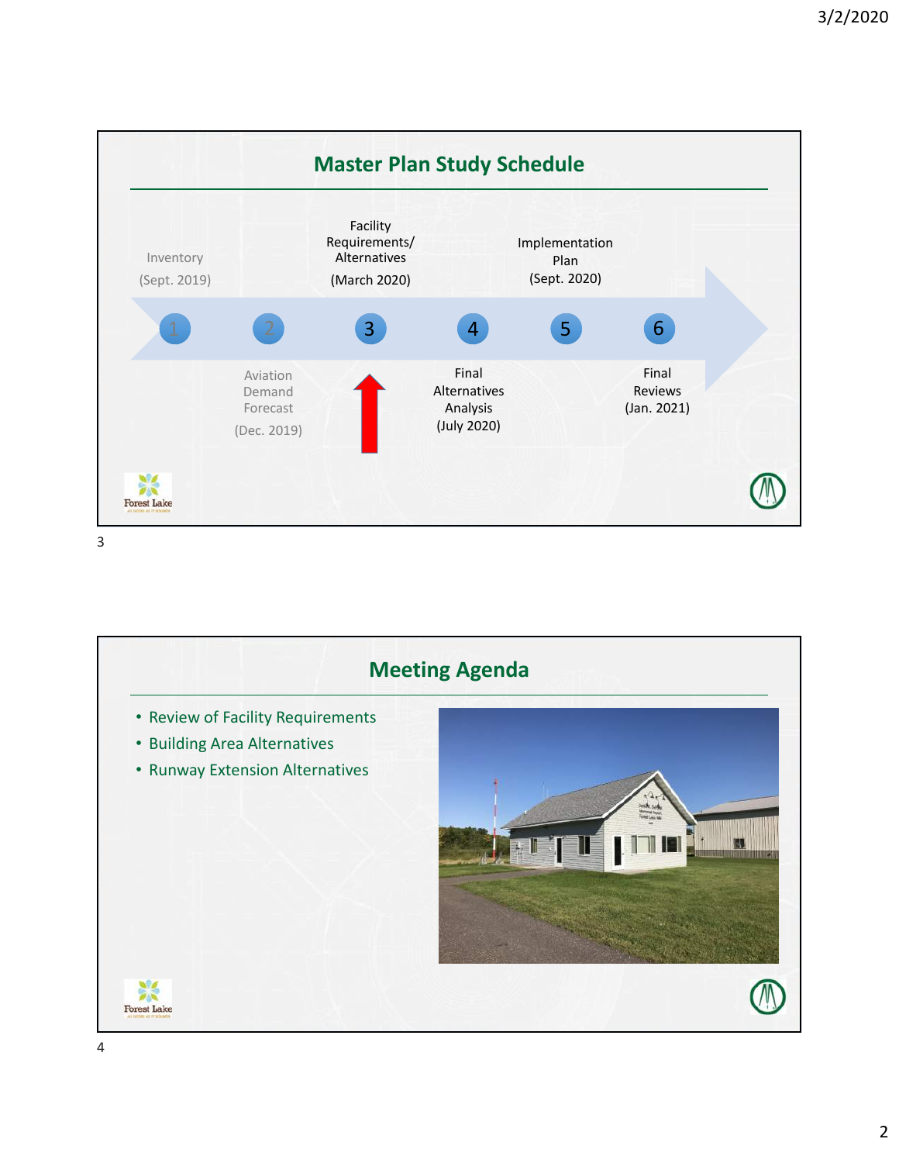

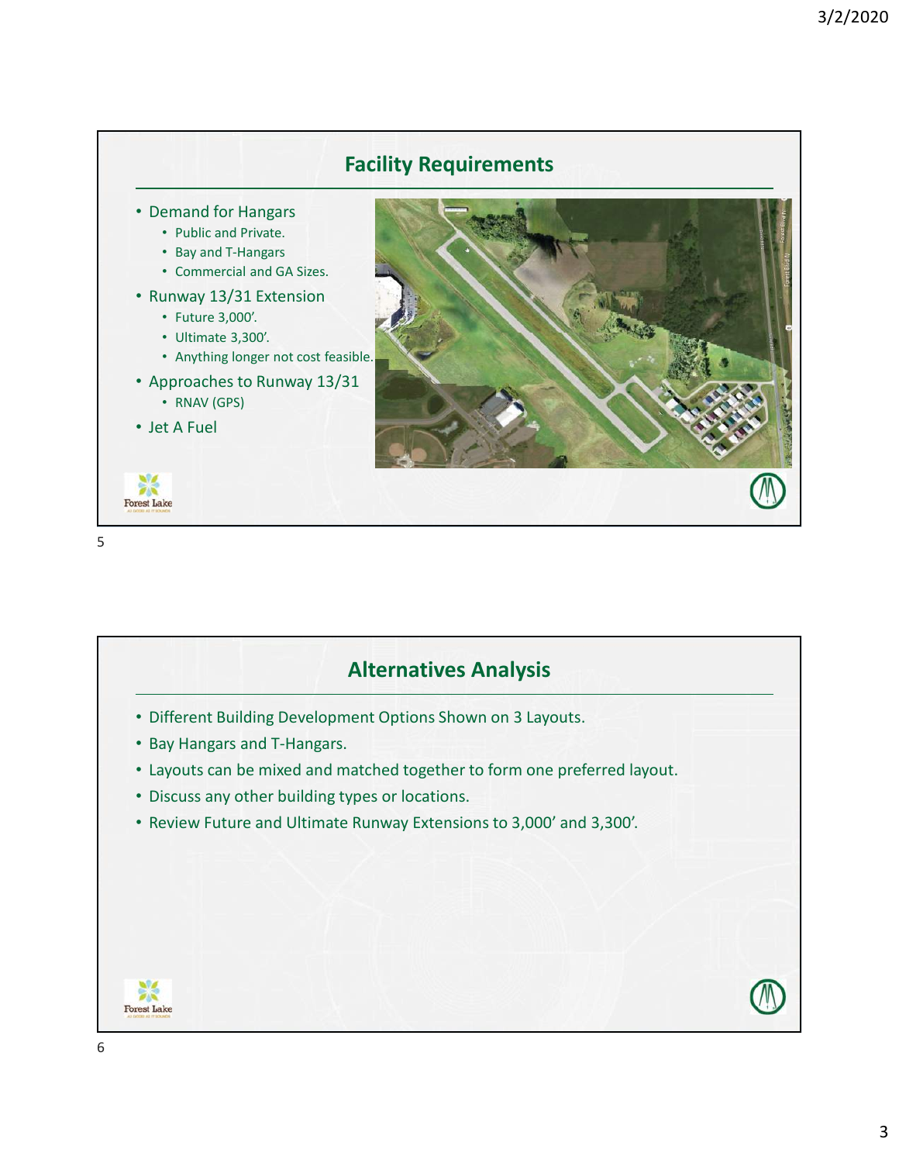

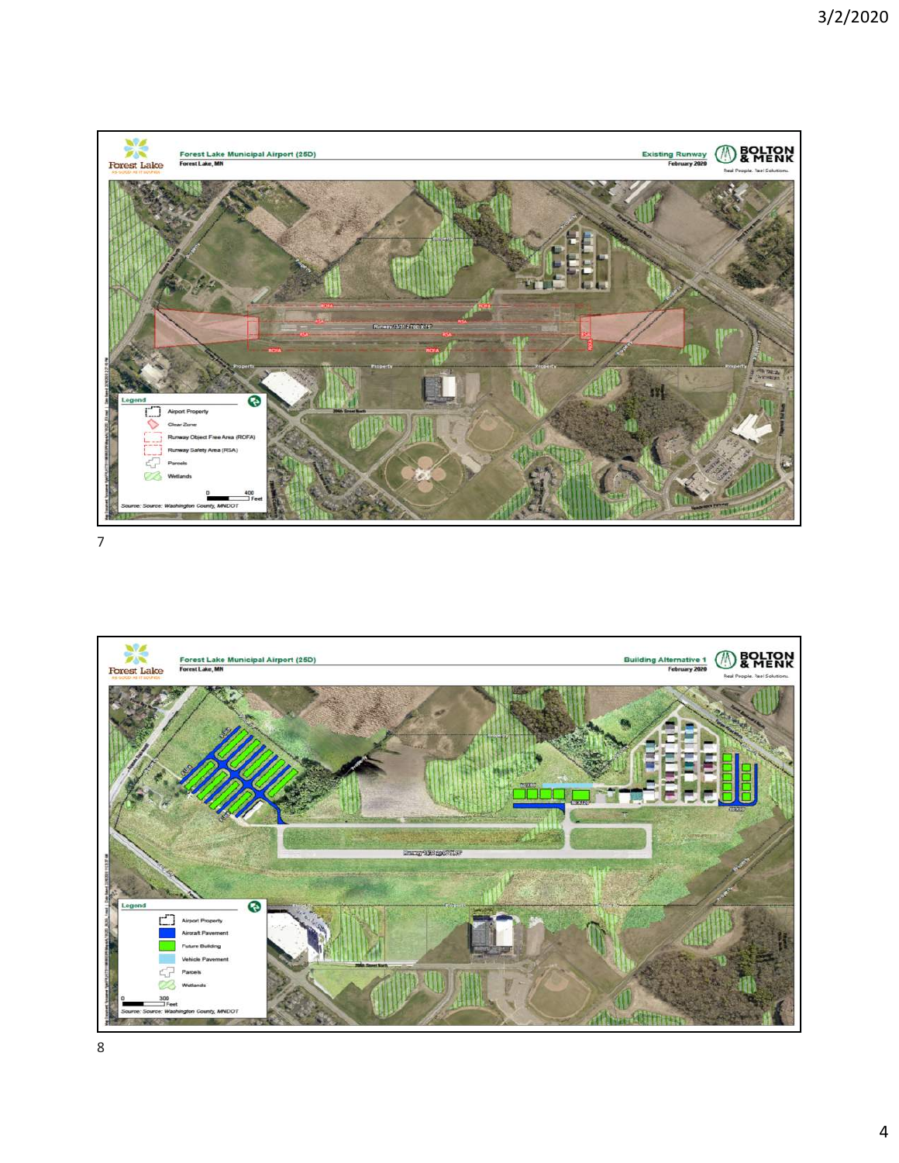

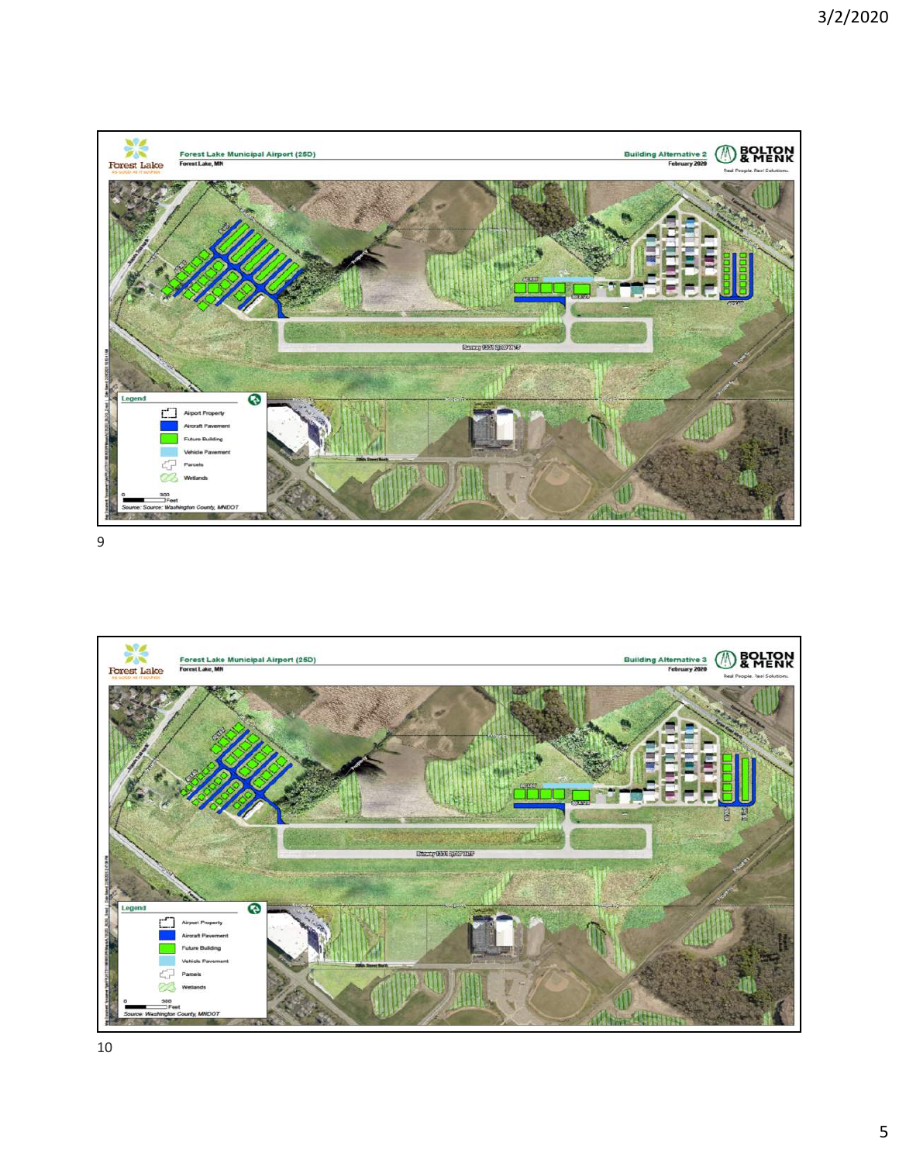

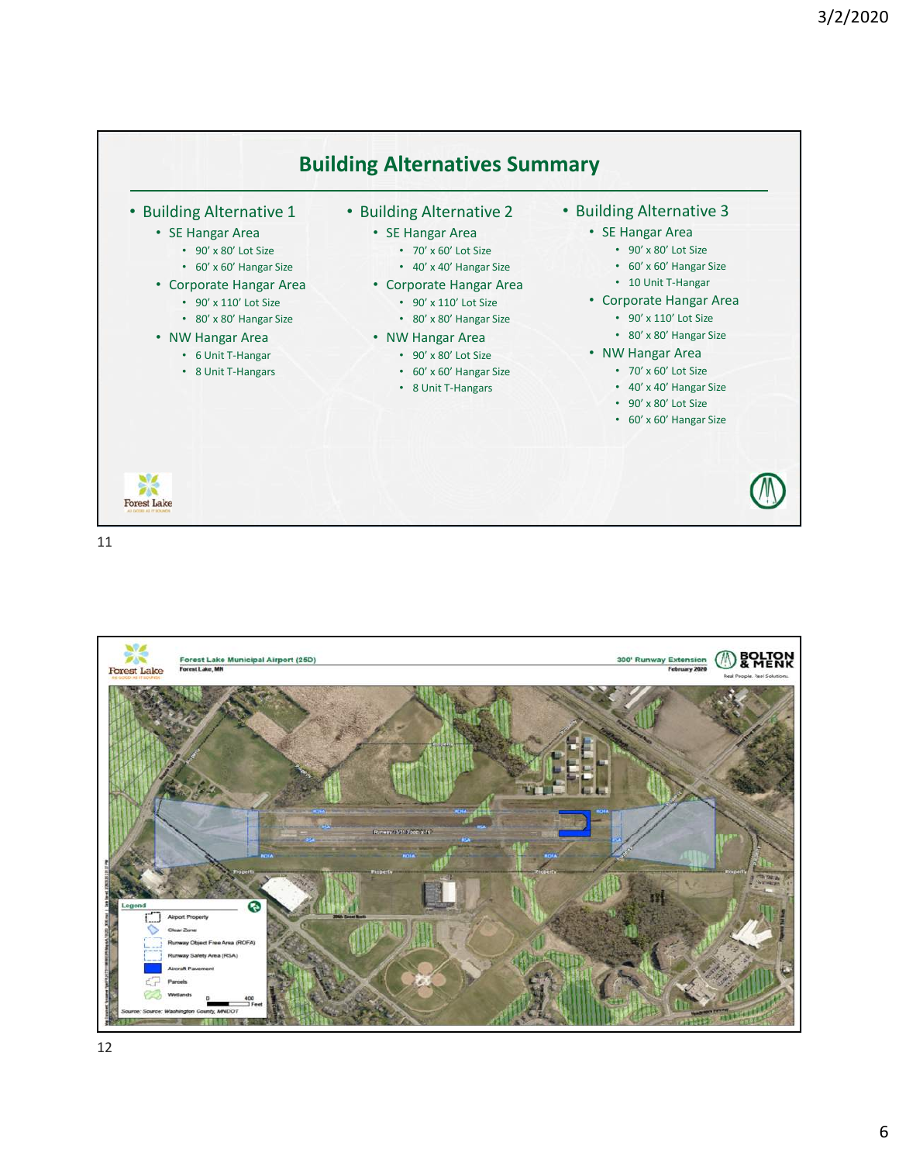

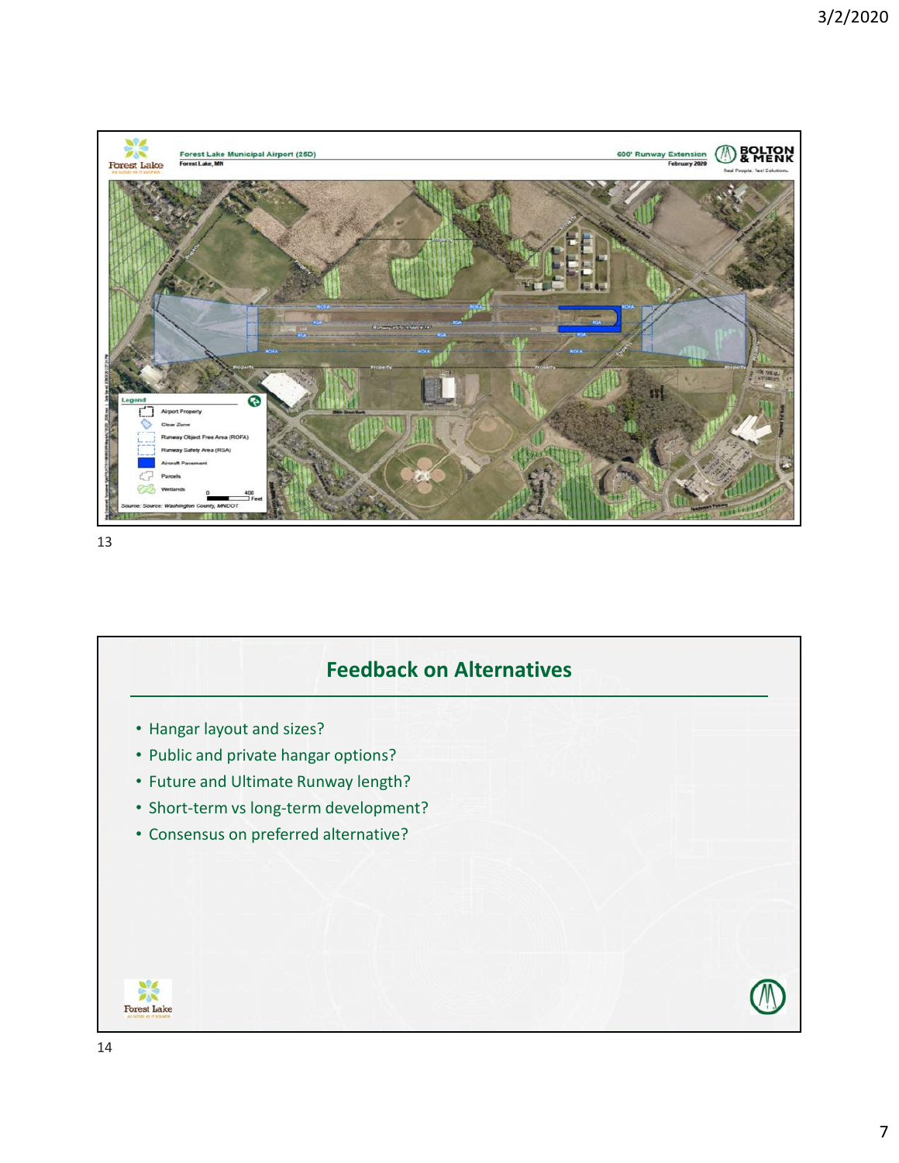